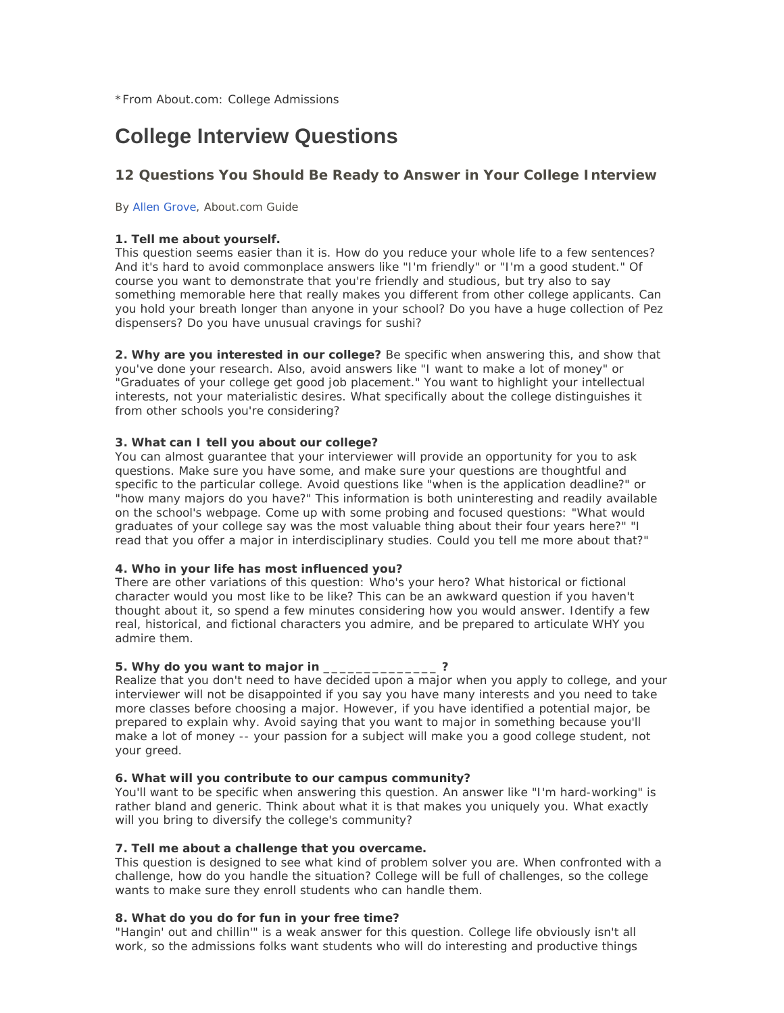# **College Interview Questions**

# **12 Questions You Should Be Ready to Answer in Your College Interview**

By Allen Grove, About.com Guide

#### **1. Tell me about yourself.**

This question seems easier than it is. How do you reduce your whole life to a few sentences? And it's hard to avoid commonplace answers like "I'm friendly" or "I'm a good student." Of course you want to demonstrate that you're friendly and studious, but try also to say something memorable here that really makes you different from other college applicants. Can you hold your breath longer than anyone in your school? Do you have a huge collection of Pez dispensers? Do you have unusual cravings for sushi?

**2. Why are you interested in our college?** Be specific when answering this, and show that you've done your research. Also, avoid answers like "I want to make a lot of money" or "Graduates of your college get good job placement." You want to highlight your intellectual interests, not your materialistic desires. What specifically about the college distinguishes it from other schools you're considering?

# **3. What can I tell you about our college?**

You can almost guarantee that your interviewer will provide an opportunity for you to ask questions. Make sure you have some, and make sure your questions are thoughtful and specific to the particular college. Avoid questions like "when is the application deadline?" or "how many majors do you have?" This information is both uninteresting and readily available on the school's webpage. Come up with some probing and focused questions: "What would graduates of your college say was the most valuable thing about their four years here?" "I read that you offer a major in interdisciplinary studies. Could you tell me more about that?"

# **4. Who in your life has most influenced you?**

There are other variations of this question: Who's your hero? What historical or fictional character would you most like to be like? This can be an awkward question if you haven't thought about it, so spend a few minutes considering how you would answer. Identify a few real, historical, and fictional characters you admire, and be prepared to articulate WHY you admire them.

# **5. Why do you want to major in \_\_\_\_\_\_\_\_\_\_\_\_\_\_ ?**

Realize that you don't need to have decided upon a major when you apply to college, and your interviewer will not be disappointed if you say you have many interests and you need to take more classes before choosing a major. However, if you have identified a potential major, be prepared to explain why. Avoid saying that you want to major in something because you'll make a lot of money -- your passion for a subject will make you a good college student, not your greed.

#### **6. What will you contribute to our campus community?**

You'll want to be specific when answering this question. An answer like "I'm hard-working" is rather bland and generic. Think about what it is that makes you uniquely you. What exactly will you bring to diversify the college's community?

# **7. Tell me about a challenge that you overcame.**

This question is designed to see what kind of problem solver you are. When confronted with a challenge, how do you handle the situation? College will be full of challenges, so the college wants to make sure they enroll students who can handle them.

# **8. What do you do for fun in your free time?**

"Hangin' out and chillin'" is a weak answer for this question. College life obviously isn't all work, so the admissions folks want students who will do interesting and productive things